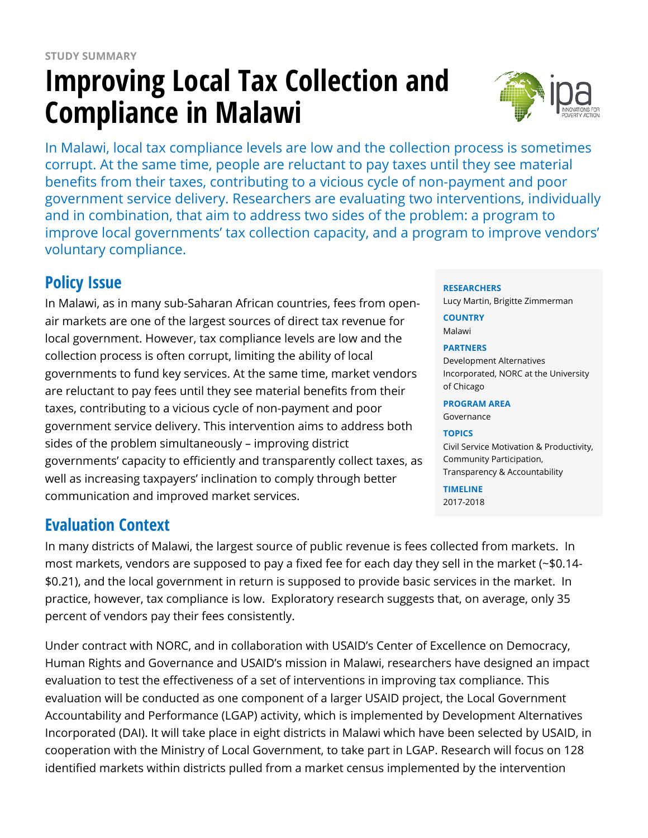# **Improving Local Tax Collection and Compliance in Malawi**



In Malawi, local tax compliance levels are low and the collection process is sometimes corrupt. At the same time, people are reluctant to pay taxes until they see material benefits from their taxes, contributing to a vicious cycle of non-payment and poor government service delivery. Researchers are evaluating two interventions, individually and in combination, that aim to address two sides of the problem: a program to improve local governments' tax collection capacity, and a program to improve vendors' voluntary compliance.

# **Policy Issue**

In Malawi, as in many sub-Saharan African countries, fees from openair markets are one of the largest sources of direct tax revenue for local government. However, tax compliance levels are low and the collection process is often corrupt, limiting the ability of local governments to fund key services. At the same time, market vendors are reluctant to pay fees until they see material benefits from their taxes, contributing to a vicious cycle of non-payment and poor government service delivery. This intervention aims to address both sides of the problem simultaneously – improving district governments' capacity to efficiently and transparently collect taxes, as well as increasing taxpayers' inclination to comply through better communication and improved market services.

## **Evaluation Context**

In many districts of Malawi, the largest source of public revenue is fees collected from markets. In most markets, vendors are supposed to pay a fixed fee for each day they sell in the market (~\$0.14- \$0.21), and the local government in return is supposed to provide basic services in the market. In practice, however, tax compliance is low. Exploratory research suggests that, on average, only 35 percent of vendors pay their fees consistently.

Under contract with NORC, and in collaboration with USAID's Center of Excellence on Democracy, Human Rights and Governance and USAID's mission in Malawi, researchers have designed an impact evaluation to test the effectiveness of a set of interventions in improving tax compliance. This evaluation will be conducted as one component of a larger USAID project, the Local Government Accountability and Performance (LGAP) activity, which is implemented by Development Alternatives Incorporated (DAI). It will take place in eight districts in Malawi which have been selected by USAID, in cooperation with the Ministry of Local Government, to take part in LGAP. Research will focus on 128 identified markets within districts pulled from a market census implemented by the intervention

#### **RESEARCHERS**

Lucy Martin, Brigitte Zimmerman

**COUNTRY** Malawi

#### **PARTNERS**

Development Alternatives Incorporated, NORC at the University of Chicago

#### **PROGRAM AREA**

Governance

#### **TOPICS**

Civil Service Motivation & Productivity, Community Participation, Transparency & Accountability

**TIMELINE** 2017-2018